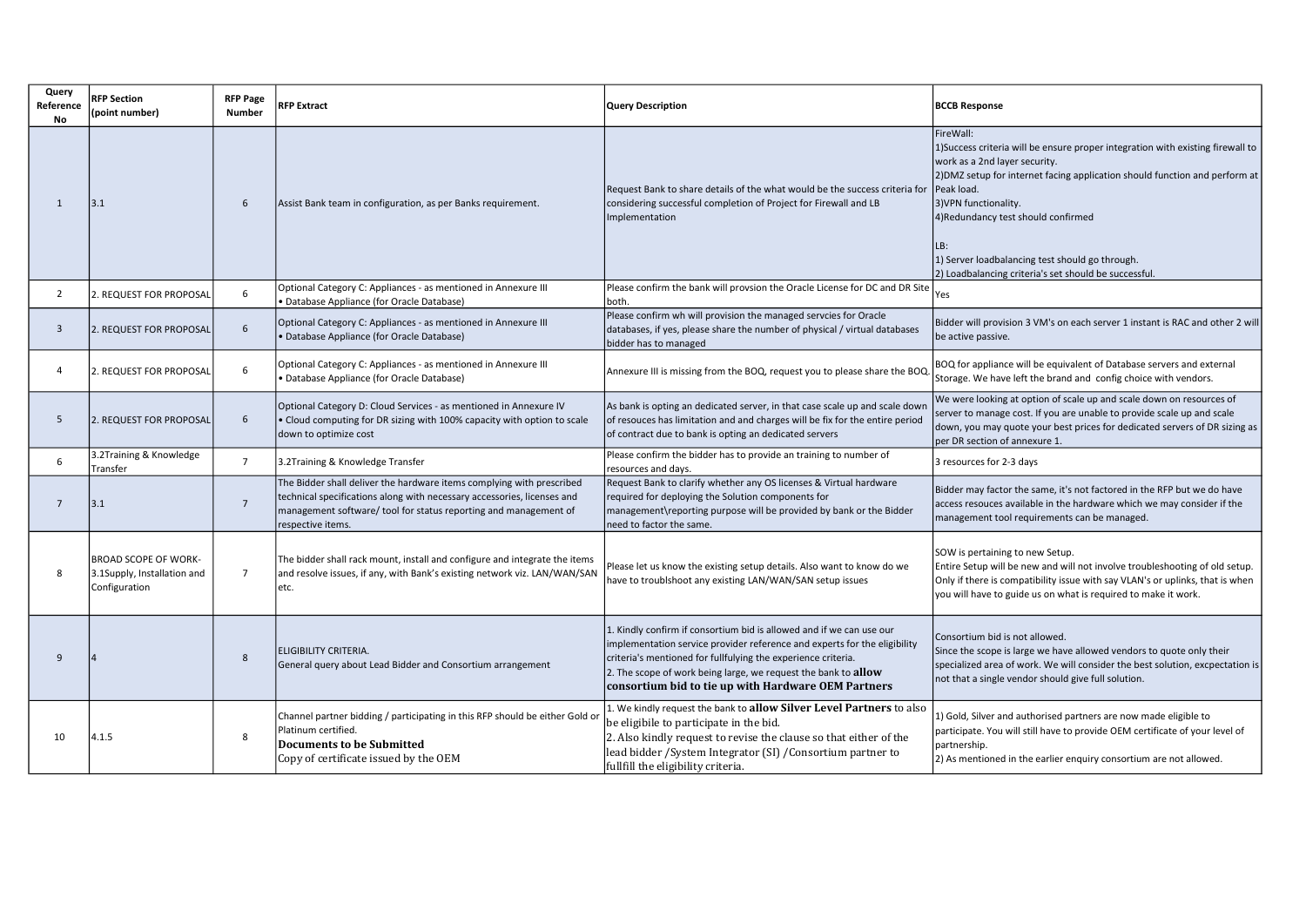| Query<br>Reference<br>No | <b>RFP Section</b><br>(point number)                                        | <b>RFP Page</b><br>Number | <b>RFP Extract</b>                                                                                                                                                                                                                        | <b>Query Description</b>                                                                                                                                                                                                                                                                                                                    | <b>BCCB Response</b>                                                                                                                                                                                                                                                                                                                                                                                          |
|--------------------------|-----------------------------------------------------------------------------|---------------------------|-------------------------------------------------------------------------------------------------------------------------------------------------------------------------------------------------------------------------------------------|---------------------------------------------------------------------------------------------------------------------------------------------------------------------------------------------------------------------------------------------------------------------------------------------------------------------------------------------|---------------------------------------------------------------------------------------------------------------------------------------------------------------------------------------------------------------------------------------------------------------------------------------------------------------------------------------------------------------------------------------------------------------|
| 1                        | 3.1                                                                         | 6                         | Assist Bank team in configuration, as per Banks requirement.                                                                                                                                                                              | Request Bank to share details of the what would be the success criteria for<br>considering successful completion of Project for Firewall and LB<br>Implementation                                                                                                                                                                           | FireWall:<br>1) Success criteria will be ensure proper integration with existing firewall to<br>work as a 2nd layer security.<br>2) DMZ setup for internet facing application should function and perform at<br>Peak load.<br>3) VPN functionality.<br>4) Redundancy test should confirmed<br>LB:<br>1) Server loadbalancing test should go through.<br>2) Loadbalancing criteria's set should be successful. |
| 2                        | 2. REQUEST FOR PROPOSAL                                                     | 6                         | Optional Category C: Appliances - as mentioned in Annexure III<br>Database Appliance (for Oracle Database)                                                                                                                                | Please confirm the bank will provsion the Oracle License for DC and DR Site<br>lboth.                                                                                                                                                                                                                                                       | Yes                                                                                                                                                                                                                                                                                                                                                                                                           |
| 3                        | 2. REQUEST FOR PROPOSAL                                                     | 6                         | Optional Category C: Appliances - as mentioned in Annexure III<br>Database Appliance (for Oracle Database)                                                                                                                                | Please confirm wh will provision the managed servcies for Oracle<br>databases, if yes, please share the number of physical / virtual databases<br>bidder has to managed                                                                                                                                                                     | Bidder will provision 3 VM's on each server 1 instant is RAC and other 2 will<br>be active passive.                                                                                                                                                                                                                                                                                                           |
| 4                        | 2. REQUEST FOR PROPOSAL                                                     | 6                         | Optional Category C: Appliances - as mentioned in Annexure III<br>Database Appliance (for Oracle Database)                                                                                                                                | Annexure III is missing from the BOQ, request you to please share the BOQ                                                                                                                                                                                                                                                                   | BOQ for appliance will be equivalent of Database servers and external<br>Storage. We have left the brand and config choice with vendors.                                                                                                                                                                                                                                                                      |
| 5                        | 2. REQUEST FOR PROPOSAL                                                     | 6                         | Optional Category D: Cloud Services - as mentioned in Annexure IV<br>• Cloud computing for DR sizing with 100% capacity with option to scale<br>down to optimize cost                                                                     | As bank is opting an dedicated server, in that case scale up and scale down<br>of resouces has limitation and and charges will be fix for the entire period<br>of contract due to bank is opting an dedicated servers                                                                                                                       | We were looking at option of scale up and scale down on resources of<br>server to manage cost. If you are unable to provide scale up and scale<br>down, you may quote your best prices for dedicated servers of DR sizing as<br>per DR section of annexure 1.                                                                                                                                                 |
| 6                        | 3.2Training & Knowledge<br>Transfer                                         | $\overline{7}$            | 3.2Training & Knowledge Transfer                                                                                                                                                                                                          | Please confirm the bidder has to provide an training to number of<br>resources and days.                                                                                                                                                                                                                                                    | 3 resources for 2-3 days                                                                                                                                                                                                                                                                                                                                                                                      |
| $\overline{7}$           | 3.1                                                                         | $\overline{7}$            | The Bidder shall deliver the hardware items complying with prescribed<br>technical specifications along with necessary accessories, licenses and<br>management software/ tool for status reporting and management of<br>respective items. | Request Bank to clarify whether any OS licenses & Virtual hardware<br>required for deploying the Solution components for<br>management\reporting purpose will be provided by bank or the Bidder<br>need to factor the same.                                                                                                                 | Bidder may factor the same, it's not factored in the RFP but we do have<br>access resouces available in the hardware which we may consider if the<br>management tool requirements can be managed.                                                                                                                                                                                                             |
|                          | <b>BROAD SCOPE OF WORK-</b><br>3.1Supply, Installation and<br>Configuration | $\overline{7}$            | The bidder shall rack mount, install and configure and integrate the items<br>and resolve issues, if any, with Bank's existing network viz. LAN/WAN/SAN<br>etc.                                                                           | Please let us know the existing setup details. Also want to know do we<br>have to troublshoot any existing LAN/WAN/SAN setup issues                                                                                                                                                                                                         | SOW is pertaining to new Setup.<br>Entire Setup will be new and will not involve troubleshooting of old setup.<br>Only if there is compatibility issue with say VLAN's or uplinks, that is when<br>you will have to guide us on what is required to make it work.                                                                                                                                             |
| q                        |                                                                             | 8                         | ELIGIBILITY CRITERIA.<br>General query about Lead Bidder and Consortium arrangement                                                                                                                                                       | 1. Kindly confirm if consortium bid is allowed and if we can use our<br>implementation service provider reference and experts for the eligibility<br>criteria's mentioned for fullfulying the experience criteria.<br>2. The scope of work being large, we request the bank to allow<br>consortium bid to tie up with Hardware OEM Partners | Consortium bid is not allowed.<br>Since the scope is large we have allowed vendors to quote only their<br>specialized area of work. We will consider the best solution, excpectation is<br>not that a single vendor should give full solution.                                                                                                                                                                |
| 10                       | 4.1.5                                                                       | 8                         | Channel partner bidding / participating in this RFP should be either Gold or<br>Platinum certified.<br><b>Documents to be Submitted</b><br>Copy of certificate issued by the OEM                                                          | 1. We kindly request the bank to allow Silver Level Partners to also<br>be eligibile to participate in the bid.<br>2. Also kindly request to revise the clause so that either of the<br>lead bidder / System Integrator (SI) / Consortium partner to<br>fullfill the eligibility criteria.                                                  | 1) Gold, Silver and authorised partners are now made eligible to<br>participate. You will still have to provide OEM certificate of your level of<br>partnership.<br>2) As mentioned in the earlier enquiry consortium are not allowed.                                                                                                                                                                        |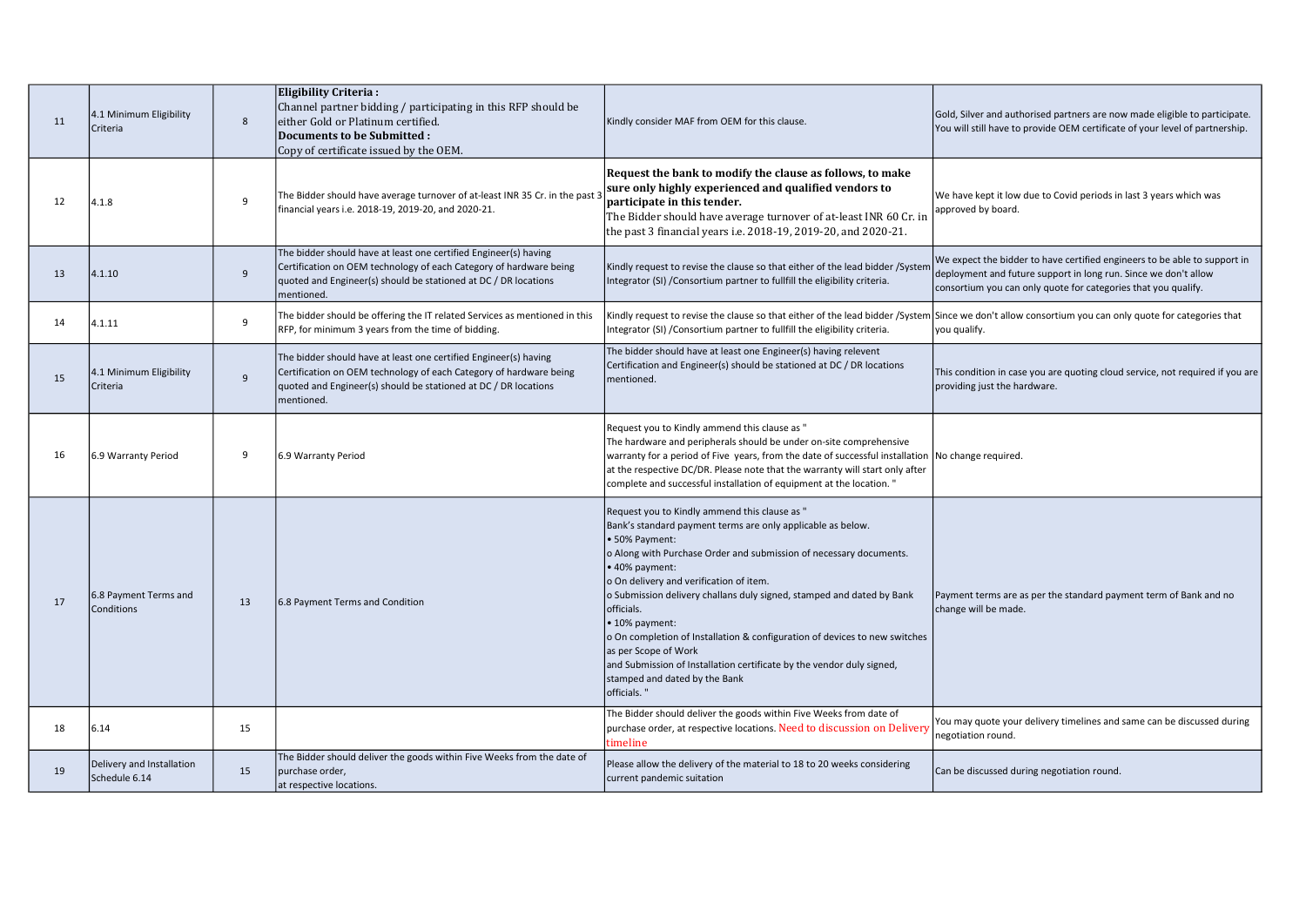| 11 | 4.1 Minimum Eligibility<br>Criteria        | 8              | Eligibility Criteria:<br>Channel partner bidding / participating in this RFP should be<br>either Gold or Platinum certified.<br>Documents to be Submitted:<br>Copy of certificate issued by the OEM.                    | Kindly consider MAF from OEM for this clause.                                                                                                                                                                                                                                                                                                                                                                                                                                                                                                                                                             | Gold, Silver and authorised partners are now made eligible to participate.<br>You will still have to provide OEM certificate of your level of partnership.                                                     |
|----|--------------------------------------------|----------------|-------------------------------------------------------------------------------------------------------------------------------------------------------------------------------------------------------------------------|-----------------------------------------------------------------------------------------------------------------------------------------------------------------------------------------------------------------------------------------------------------------------------------------------------------------------------------------------------------------------------------------------------------------------------------------------------------------------------------------------------------------------------------------------------------------------------------------------------------|----------------------------------------------------------------------------------------------------------------------------------------------------------------------------------------------------------------|
| 12 | 4.1.8                                      | 9              | The Bidder should have average turnover of at-least INR 35 Cr. in the past<br>financial years i.e. 2018-19, 2019-20, and 2020-21.                                                                                       | Request the bank to modify the clause as follows, to make<br>sure only highly experienced and qualified vendors to<br>participate in this tender.<br>The Bidder should have average turnover of at-least INR 60 Cr. in<br>the past 3 financial years i.e. 2018-19, 2019-20, and 2020-21.                                                                                                                                                                                                                                                                                                                  | We have kept it low due to Covid periods in last 3 years which was<br>approved by board.                                                                                                                       |
| 13 | 4.1.10                                     | $\overline{9}$ | The bidder should have at least one certified Engineer(s) having<br>Certification on OEM technology of each Category of hardware being<br>quoted and Engineer(s) should be stationed at DC / DR locations<br>mentioned. | Kindly request to revise the clause so that either of the lead bidder / System<br>Integrator (SI) / Consortium partner to fullfill the eligibility criteria.                                                                                                                                                                                                                                                                                                                                                                                                                                              | We expect the bidder to have certified engineers to be able to support in<br>deployment and future support in long run. Since we don't allow<br>consortium you can only quote for categories that you qualify. |
| 14 | 4.1.11                                     | 9              | The bidder should be offering the IT related Services as mentioned in this<br>RFP, for minimum 3 years from the time of bidding.                                                                                        | Kindly request to revise the clause so that either of the lead bidder /System<br>Integrator (SI) / Consortium partner to fullfill the eligibility criteria.                                                                                                                                                                                                                                                                                                                                                                                                                                               | Since we don't allow consortium you can only quote for categories that<br>you qualify.                                                                                                                         |
| 15 | 4.1 Minimum Eligibility<br>Criteria        | $\overline{9}$ | The bidder should have at least one certified Engineer(s) having<br>Certification on OEM technology of each Category of hardware being<br>quoted and Engineer(s) should be stationed at DC / DR locations<br>mentioned. | The bidder should have at least one Engineer(s) having relevent<br>Certification and Engineer(s) should be stationed at DC / DR locations<br>mentioned.                                                                                                                                                                                                                                                                                                                                                                                                                                                   | This condition in case you are quoting cloud service, not required if you are<br>providing just the hardware.                                                                                                  |
| 16 | 6.9 Warranty Period                        | 9              | 6.9 Warranty Period                                                                                                                                                                                                     | Request you to Kindly ammend this clause as "<br>The hardware and peripherals should be under on-site comprehensive<br>warranty for a period of Five years, from the date of successful installation No change required.<br>at the respective DC/DR. Please note that the warranty will start only after<br>complete and successful installation of equipment at the location."                                                                                                                                                                                                                           |                                                                                                                                                                                                                |
| 17 | 6.8 Payment Terms and<br><b>Conditions</b> | 13             | 6.8 Payment Terms and Condition                                                                                                                                                                                         | Request you to Kindly ammend this clause as "<br>Bank's standard payment terms are only applicable as below.<br>· 50% Payment:<br>o Along with Purchase Order and submission of necessary documents.<br>• 40% payment:<br>o On delivery and verification of item.<br>o Submission delivery challans duly signed, stamped and dated by Bank<br>officials.<br>• 10% payment:<br>o On completion of Installation & configuration of devices to new switches<br>as per Scope of Work<br>and Submission of Installation certificate by the vendor duly signed,<br>stamped and dated by the Bank<br>officials." | Payment terms are as per the standard payment term of Bank and no<br>change will be made.                                                                                                                      |
| 18 | 6.14                                       | 15             |                                                                                                                                                                                                                         | The Bidder should deliver the goods within Five Weeks from date of<br>purchase order, at respective locations. Need to discussion on Delivery<br>timeline                                                                                                                                                                                                                                                                                                                                                                                                                                                 | You may quote your delivery timelines and same can be discussed during<br>negotiation round.                                                                                                                   |
| 19 | Delivery and Installation<br>Schedule 6.14 | 15             | The Bidder should deliver the goods within Five Weeks from the date of<br>purchase order,<br>at respective locations.                                                                                                   | Please allow the delivery of the material to 18 to 20 weeks considering<br>current pandemic suitation                                                                                                                                                                                                                                                                                                                                                                                                                                                                                                     | Can be discussed during negotiation round.                                                                                                                                                                     |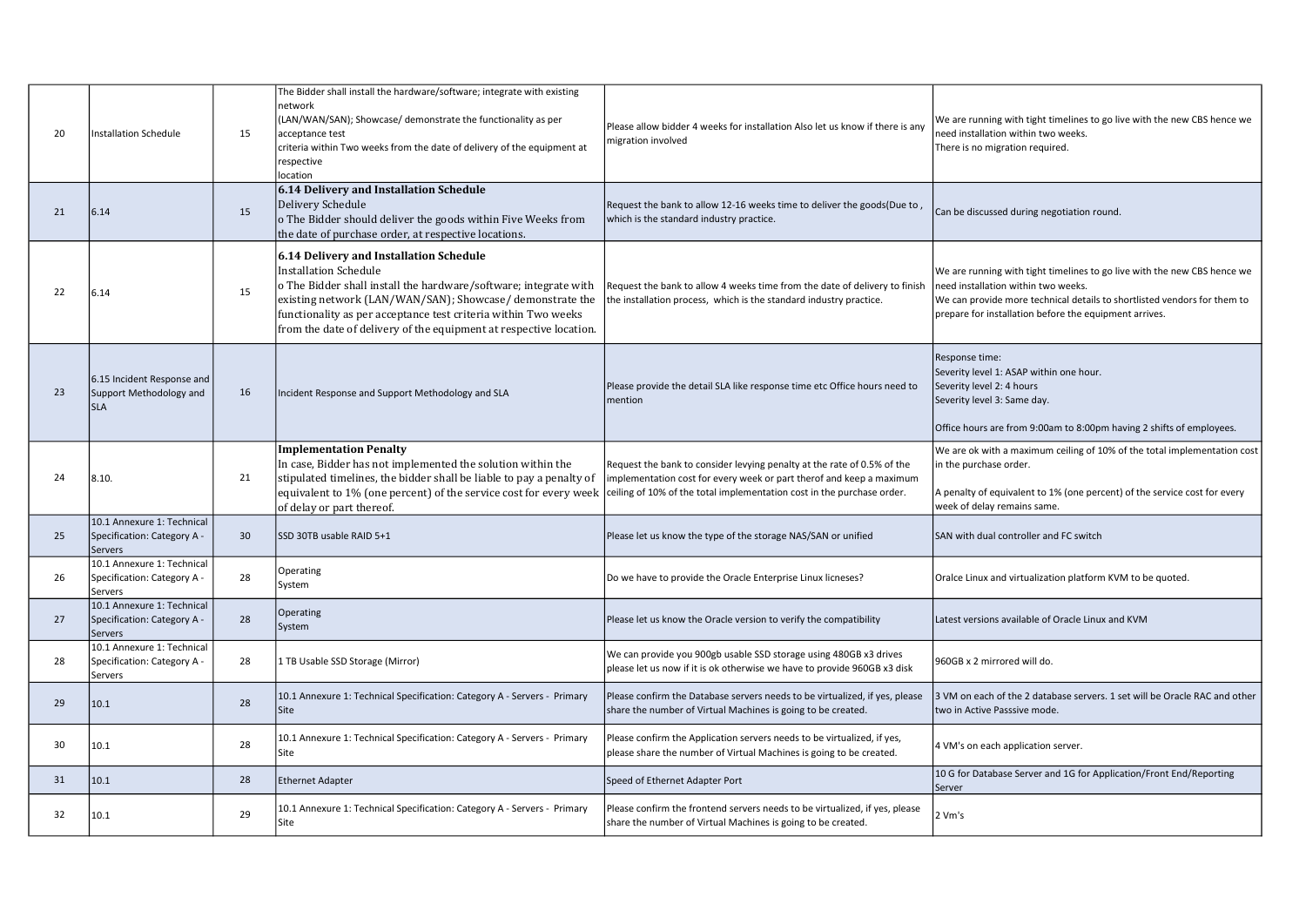| 20 | Installation Schedule                                                | 15 | The Bidder shall install the hardware/software; integrate with existing<br>network<br>(LAN/WAN/SAN); Showcase/ demonstrate the functionality as per<br>acceptance test<br>criteria within Two weeks from the date of delivery of the equipment at<br>respective<br>location                                                                   | Please allow bidder 4 weeks for installation Also let us know if there is any<br>migration involved                                              | We are running with tight timelines to go live with the new CBS hence we<br>need installation within two weeks.<br>There is no migration required.                                                                                                    |
|----|----------------------------------------------------------------------|----|-----------------------------------------------------------------------------------------------------------------------------------------------------------------------------------------------------------------------------------------------------------------------------------------------------------------------------------------------|--------------------------------------------------------------------------------------------------------------------------------------------------|-------------------------------------------------------------------------------------------------------------------------------------------------------------------------------------------------------------------------------------------------------|
| 21 | 6.14                                                                 | 15 | 6.14 Delivery and Installation Schedule<br>Delivery Schedule<br>o The Bidder should deliver the goods within Five Weeks from<br>the date of purchase order, at respective locations.                                                                                                                                                          | Request the bank to allow 12-16 weeks time to deliver the goods(Due to,<br>which is the standard industry practice.                              | Can be discussed during negotiation round.                                                                                                                                                                                                            |
| 22 | 6.14                                                                 | 15 | 6.14 Delivery and Installation Schedule<br>Installation Schedule<br>o The Bidder shall install the hardware/software; integrate with<br>existing network (LAN/WAN/SAN); Showcase/ demonstrate the<br>functionality as per acceptance test criteria within Two weeks<br>from the date of delivery of the equipment at respective location.     | Request the bank to allow 4 weeks time from the date of delivery to finish<br>the installation process, which is the standard industry practice. | We are running with tight timelines to go live with the new CBS hence we<br>need installation within two weeks.<br>We can provide more technical details to shortlisted vendors for them to<br>prepare for installation before the equipment arrives. |
| 23 | 6.15 Incident Response and<br>Support Methodology and<br>lsla        | 16 | Incident Response and Support Methodology and SLA                                                                                                                                                                                                                                                                                             | Please provide the detail SLA like response time etc Office hours need to<br>mention                                                             | Response time:<br>Severity level 1: ASAP within one hour.<br>Severity level 2: 4 hours<br>Severity level 3: Same day.<br>Office hours are from 9:00am to 8:00pm having 2 shifts of employees.                                                         |
| 24 | 8.10.                                                                | 21 | <b>Implementation Penalty</b><br>In case, Bidder has not implemented the solution within the<br>stipulated timelines, the bidder shall be liable to pay a penalty of<br>equivalent to 1% (one percent) of the service cost for every week ceiling of 10% of the total implementation cost in the purchase order.<br>of delay or part thereof. | Request the bank to consider levying penalty at the rate of 0.5% of the<br>implementation cost for every week or part therof and keep a maximum  | We are ok with a maximum ceiling of 10% of the total implementation cost<br>in the purchase order.<br>A penalty of equivalent to 1% (one percent) of the service cost for every<br>week of delay remains same.                                        |
| 25 | 10.1 Annexure 1: Technical<br>Specification: Category A -<br>Servers | 30 | SSD 30TB usable RAID 5+1                                                                                                                                                                                                                                                                                                                      | Please let us know the type of the storage NAS/SAN or unified                                                                                    | SAN with dual controller and FC switch                                                                                                                                                                                                                |
| 26 | 10.1 Annexure 1: Technical<br>Specification: Category A -<br>Servers | 28 | Operating<br>System                                                                                                                                                                                                                                                                                                                           | Do we have to provide the Oracle Enterprise Linux licneses?                                                                                      | Oralce Linux and virtualization platform KVM to be quoted.                                                                                                                                                                                            |
| 27 | 10.1 Annexure 1: Technical<br>Specification: Category A -<br>Servers | 28 | Operating<br>System                                                                                                                                                                                                                                                                                                                           | Please let us know the Oracle version to verify the compatibility                                                                                | Latest versions available of Oracle Linux and KVM                                                                                                                                                                                                     |
| 28 | 10.1 Annexure 1: Technical<br>Specification: Category A -<br>Servers | 28 | 1 TB Usable SSD Storage (Mirror)                                                                                                                                                                                                                                                                                                              | We can provide you 900gb usable SSD storage using 480GB x3 drives<br>please let us now if it is ok otherwise we have to provide 960GB x3 disk    | 960GB x 2 mirrored will do.                                                                                                                                                                                                                           |
| 29 | 10.1                                                                 | 28 | 10.1 Annexure 1: Technical Specification: Category A - Servers - Primary<br>Site                                                                                                                                                                                                                                                              | Please confirm the Database servers needs to be virtualized, if yes, please<br>share the number of Virtual Machines is going to be created.      | 3 VM on each of the 2 database servers. 1 set will be Oracle RAC and other<br>two in Active Passsive mode.                                                                                                                                            |
| 30 | 10.1                                                                 | 28 | 10.1 Annexure 1: Technical Specification: Category A - Servers - Primary<br>Site                                                                                                                                                                                                                                                              | Please confirm the Application servers needs to be virtualized, if yes,<br>please share the number of Virtual Machines is going to be created.   | 4 VM's on each application server.                                                                                                                                                                                                                    |
| 31 | 10.1                                                                 | 28 | <b>Ethernet Adapter</b>                                                                                                                                                                                                                                                                                                                       | Speed of Ethernet Adapter Port                                                                                                                   | 10 G for Database Server and 1G for Application/Front End/Reporting<br>Server                                                                                                                                                                         |
| 32 | 10.1                                                                 | 29 | 10.1 Annexure 1: Technical Specification: Category A - Servers - Primary<br>Site                                                                                                                                                                                                                                                              | Please confirm the frontend servers needs to be virtualized, if yes, please<br>share the number of Virtual Machines is going to be created.      | 2 Vm's                                                                                                                                                                                                                                                |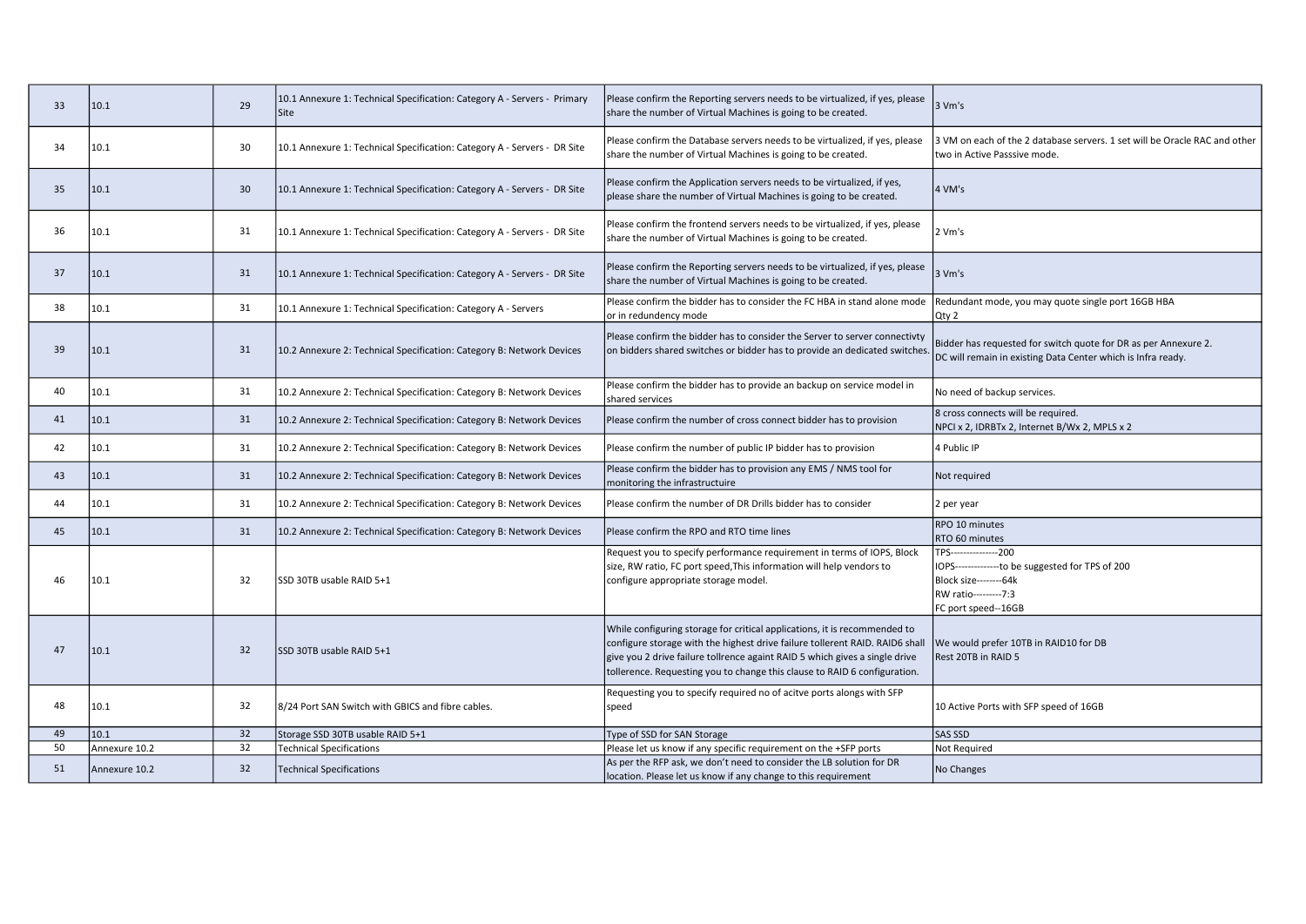| 33 | 10.1          | 29 | 10.1 Annexure 1: Technical Specification: Category A - Servers - Primary<br>Site | Please confirm the Reporting servers needs to be virtualized, if yes, please<br>share the number of Virtual Machines is going to be created.                                                                                                                                                                          | 3 Vm's                                                                                                                                               |
|----|---------------|----|----------------------------------------------------------------------------------|-----------------------------------------------------------------------------------------------------------------------------------------------------------------------------------------------------------------------------------------------------------------------------------------------------------------------|------------------------------------------------------------------------------------------------------------------------------------------------------|
| 34 | 10.1          | 30 | 10.1 Annexure 1: Technical Specification: Category A - Servers - DR Site         | Please confirm the Database servers needs to be virtualized, if yes, please<br>share the number of Virtual Machines is going to be created.                                                                                                                                                                           | 3 VM on each of the 2 database servers. 1 set will be Oracle RAC and other<br>two in Active Passsive mode.                                           |
| 35 | 10.1          | 30 | 10.1 Annexure 1: Technical Specification: Category A - Servers - DR Site         | Please confirm the Application servers needs to be virtualized, if yes,<br>please share the number of Virtual Machines is going to be created.                                                                                                                                                                        | 4 VM's                                                                                                                                               |
| 36 | 10.1          | 31 | 10.1 Annexure 1: Technical Specification: Category A - Servers - DR Site         | Please confirm the frontend servers needs to be virtualized, if yes, please<br>share the number of Virtual Machines is going to be created.                                                                                                                                                                           | 2 Vm's                                                                                                                                               |
| 37 | 10.1          | 31 | 10.1 Annexure 1: Technical Specification: Category A - Servers - DR Site         | Please confirm the Reporting servers needs to be virtualized, if yes, please<br>share the number of Virtual Machines is going to be created.                                                                                                                                                                          | 3 Vm's                                                                                                                                               |
| 38 | 10.1          | 31 | 10.1 Annexure 1: Technical Specification: Category A - Servers                   | Please confirm the bidder has to consider the FC HBA in stand alone mode<br>or in redundency mode                                                                                                                                                                                                                     | Redundant mode, you may quote single port 16GB HBA<br>Qty 2                                                                                          |
| 39 | 10.1          | 31 | 10.2 Annexure 2: Technical Specification: Category B: Network Devices            | Please confirm the bidder has to consider the Server to server connectivty<br>on bidders shared switches or bidder has to provide an dedicated switches                                                                                                                                                               | Bidder has requested for switch quote for DR as per Annexure 2.<br>DC will remain in existing Data Center which is Infra ready.                      |
| 40 | 10.1          | 31 | 10.2 Annexure 2: Technical Specification: Category B: Network Devices            | Please confirm the bidder has to provide an backup on service model in<br>shared services                                                                                                                                                                                                                             | No need of backup services.                                                                                                                          |
| 41 | 10.1          | 31 | 10.2 Annexure 2: Technical Specification: Category B: Network Devices            | Please confirm the number of cross connect bidder has to provision                                                                                                                                                                                                                                                    | 8 cross connects will be required.<br>NPCI x 2, IDRBTx 2, Internet B/Wx 2, MPLS x 2                                                                  |
| 42 | 10.1          | 31 | 10.2 Annexure 2: Technical Specification: Category B: Network Devices            | Please confirm the number of public IP bidder has to provision                                                                                                                                                                                                                                                        | 4 Public IP                                                                                                                                          |
| 43 | 10.1          | 31 | 10.2 Annexure 2: Technical Specification: Category B: Network Devices            | Please confirm the bidder has to provision any EMS / NMS tool for<br>monitoring the infrastructuire                                                                                                                                                                                                                   | Not required                                                                                                                                         |
| 44 | 10.1          | 31 | 10.2 Annexure 2: Technical Specification: Category B: Network Devices            | Please confirm the number of DR Drills bidder has to consider                                                                                                                                                                                                                                                         | 2 per year                                                                                                                                           |
| 45 | 10.1          | 31 | 10.2 Annexure 2: Technical Specification: Category B: Network Devices            | Please confirm the RPO and RTO time lines                                                                                                                                                                                                                                                                             | RPO 10 minutes<br>RTO 60 minutes                                                                                                                     |
| 46 | 10.1          | 32 | SSD 30TB usable RAID 5+1                                                         | Request you to specify performance requirement in terms of IOPS, Block<br>size, RW ratio, FC port speed, This information will help vendors to<br>configure appropriate storage model.                                                                                                                                | TPS----------------200<br>IOPS---------------to be suggested for TPS of 200<br>Block size---------64k<br>RW ratio---------7:3<br>FC port speed--16GB |
| 47 | 10.1          | 32 | SSD 30TB usable RAID 5+1                                                         | While configuring storage for critical applications, it is recommended to<br>configure storage with the highest drive failure tollerent RAID. RAID6 shall<br>give you 2 drive failure tollrence againt RAID 5 which gives a single drive<br>tollerence. Requesting you to change this clause to RAID 6 configuration. | We would prefer 10TB in RAID10 for DB<br>Rest 20TB in RAID 5                                                                                         |
| 48 | 10.1          | 32 | 8/24 Port SAN Switch with GBICS and fibre cables.                                | Requesting you to specify required no of acitve ports alongs with SFP<br>speed                                                                                                                                                                                                                                        | 10 Active Ports with SFP speed of 16GB                                                                                                               |
| 49 | 10.1          | 32 | Storage SSD 30TB usable RAID 5+1                                                 | Type of SSD for SAN Storage                                                                                                                                                                                                                                                                                           | SAS SSD                                                                                                                                              |
| 50 | Annexure 10.2 | 32 | <b>Technical Specifications</b>                                                  | Please let us know if any specific requirement on the +SFP ports                                                                                                                                                                                                                                                      | Not Required                                                                                                                                         |
| 51 | Annexure 10.2 | 32 | <b>Technical Specifications</b>                                                  | As per the RFP ask, we don't need to consider the LB solution for DR<br>location. Please let us know if any change to this requirement                                                                                                                                                                                | No Changes                                                                                                                                           |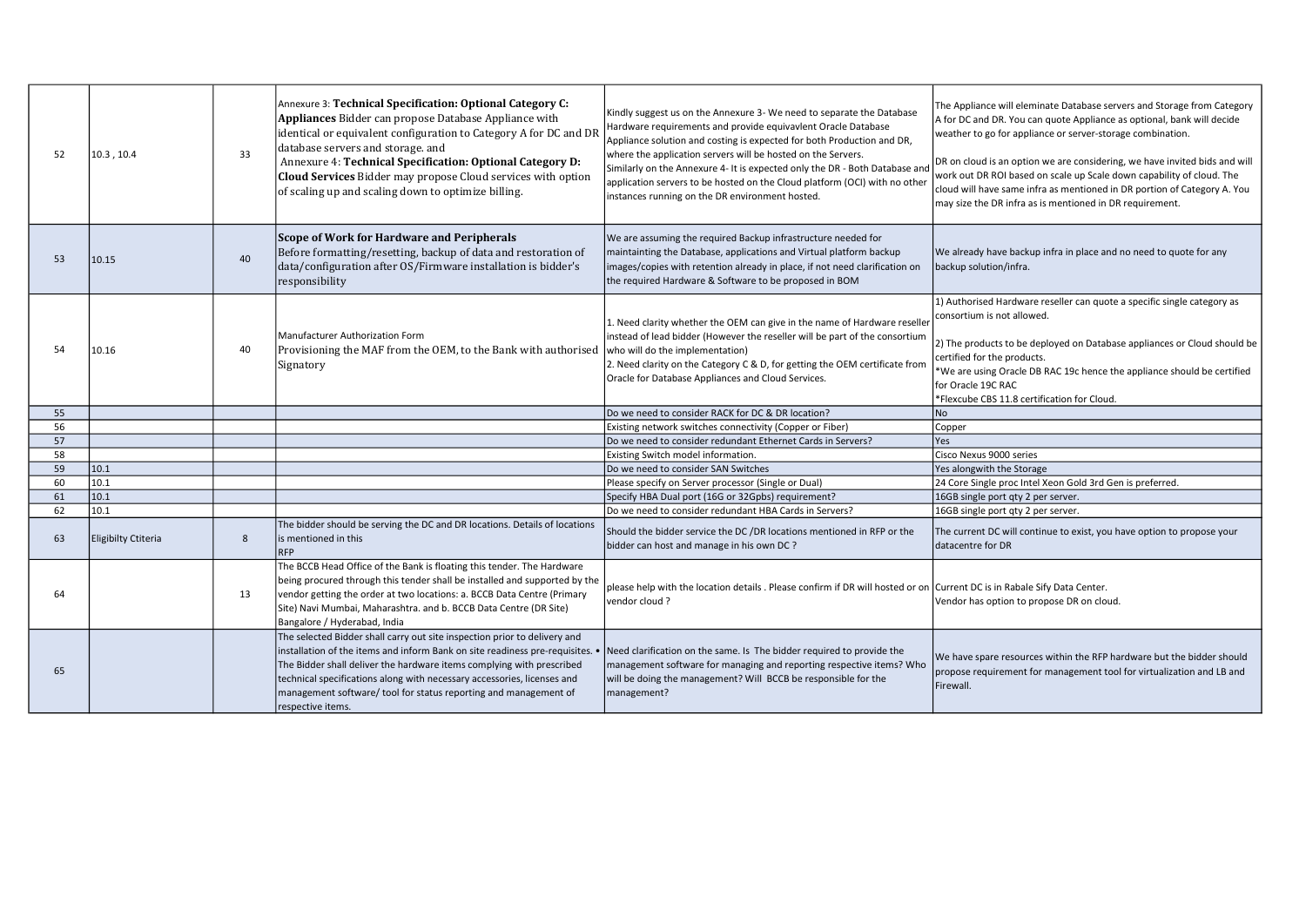| 52 | 10.3, 10.4                 | 33 | Annexure 3: Technical Specification: Optional Category C:<br>Appliances Bidder can propose Database Appliance with<br>identical or equivalent configuration to Category A for DC and DI<br>database servers and storage. and<br>Annexure 4: Technical Specification: Optional Category D:<br>Cloud Services Bidder may propose Cloud services with option<br>of scaling up and scaling down to optimize billing. | Kindly suggest us on the Annexure 3- We need to separate the Database<br>Hardware requirements and provide equivavlent Oracle Database<br>Appliance solution and costing is expected for both Production and DR,<br>where the application servers will be hosted on the Servers.<br>Similarly on the Annexure 4- It is expected only the DR - Both Database and<br>application servers to be hosted on the Cloud platform (OCI) with no other<br>instances running on the DR environment hosted. | The Appliance will eleminate Database servers and Storage from Category<br>A for DC and DR. You can quote Appliance as optional, bank will decide<br>weather to go for appliance or server-storage combination.<br>DR on cloud is an option we are considering, we have invited bids and will<br>work out DR ROI based on scale up Scale down capability of cloud. The<br>cloud will have same infra as mentioned in DR portion of Category A. You<br>may size the DR infra as is mentioned in DR requirement. |
|----|----------------------------|----|------------------------------------------------------------------------------------------------------------------------------------------------------------------------------------------------------------------------------------------------------------------------------------------------------------------------------------------------------------------------------------------------------------------|--------------------------------------------------------------------------------------------------------------------------------------------------------------------------------------------------------------------------------------------------------------------------------------------------------------------------------------------------------------------------------------------------------------------------------------------------------------------------------------------------|----------------------------------------------------------------------------------------------------------------------------------------------------------------------------------------------------------------------------------------------------------------------------------------------------------------------------------------------------------------------------------------------------------------------------------------------------------------------------------------------------------------|
| 53 | 10.15                      | 40 | Scope of Work for Hardware and Peripherals<br>Before formatting/resetting, backup of data and restoration of<br>data/configuration after OS/Firmware installation is bidder's<br>responsibility                                                                                                                                                                                                                  | We are assuming the required Backup infrastructure needed for<br>maintainting the Database, applications and Virtual platform backup<br>images/copies with retention already in place, if not need clarification on<br>the required Hardware & Software to be proposed in BOM                                                                                                                                                                                                                    | We already have backup infra in place and no need to quote for any<br>backup solution/infra.                                                                                                                                                                                                                                                                                                                                                                                                                   |
| 54 | 10.16                      | 40 | Manufacturer Authorization Form<br>Provisioning the MAF from the OEM, to the Bank with authorised<br>Signatory                                                                                                                                                                                                                                                                                                   | 1. Need clarity whether the OEM can give in the name of Hardware reseller<br>instead of lead bidder (However the reseller will be part of the consortium<br>who will do the implementation)<br>2. Need clarity on the Category C & D, for getting the OEM certificate from<br>Oracle for Database Appliances and Cloud Services.                                                                                                                                                                 | 1) Authorised Hardware reseller can quote a specific single category as<br>consortium is not allowed.<br>2) The products to be deployed on Database appliances or Cloud should be<br>certified for the products.<br>*We are using Oracle DB RAC 19c hence the appliance should be certified<br>for Oracle 19C RAC<br>*Flexcube CBS 11.8 certification for Cloud.                                                                                                                                               |
| 55 |                            |    |                                                                                                                                                                                                                                                                                                                                                                                                                  | Do we need to consider RACK for DC & DR location?                                                                                                                                                                                                                                                                                                                                                                                                                                                | N <sub>o</sub>                                                                                                                                                                                                                                                                                                                                                                                                                                                                                                 |
| 56 |                            |    |                                                                                                                                                                                                                                                                                                                                                                                                                  | Existing network switches connectivity (Copper or Fiber)                                                                                                                                                                                                                                                                                                                                                                                                                                         | Copper                                                                                                                                                                                                                                                                                                                                                                                                                                                                                                         |
| 57 |                            |    |                                                                                                                                                                                                                                                                                                                                                                                                                  | Do we need to consider redundant Ethernet Cards in Servers?                                                                                                                                                                                                                                                                                                                                                                                                                                      | Yes                                                                                                                                                                                                                                                                                                                                                                                                                                                                                                            |
| 58 |                            |    |                                                                                                                                                                                                                                                                                                                                                                                                                  | Existing Switch model information.                                                                                                                                                                                                                                                                                                                                                                                                                                                               | Cisco Nexus 9000 series                                                                                                                                                                                                                                                                                                                                                                                                                                                                                        |
| 59 | 10.1                       |    |                                                                                                                                                                                                                                                                                                                                                                                                                  | Do we need to consider SAN Switches                                                                                                                                                                                                                                                                                                                                                                                                                                                              | Yes alongwith the Storage                                                                                                                                                                                                                                                                                                                                                                                                                                                                                      |
| 60 | 10.1                       |    |                                                                                                                                                                                                                                                                                                                                                                                                                  | Please specify on Server processor (Single or Dual)                                                                                                                                                                                                                                                                                                                                                                                                                                              | 24 Core Single proc Intel Xeon Gold 3rd Gen is preferred.                                                                                                                                                                                                                                                                                                                                                                                                                                                      |
| 61 | 10.1                       |    |                                                                                                                                                                                                                                                                                                                                                                                                                  | Specify HBA Dual port (16G or 32Gpbs) requirement?                                                                                                                                                                                                                                                                                                                                                                                                                                               | 16GB single port qty 2 per server.                                                                                                                                                                                                                                                                                                                                                                                                                                                                             |
| 62 | 10.1                       |    |                                                                                                                                                                                                                                                                                                                                                                                                                  | Do we need to consider redundant HBA Cards in Servers?                                                                                                                                                                                                                                                                                                                                                                                                                                           | 16GB single port qty 2 per server.                                                                                                                                                                                                                                                                                                                                                                                                                                                                             |
| 63 | <b>Eligibilty Ctiteria</b> | 8  | The bidder should be serving the DC and DR locations. Details of locations<br>is mentioned in this<br><b>RFP</b>                                                                                                                                                                                                                                                                                                 | Should the bidder service the DC /DR locations mentioned in RFP or the<br>bidder can host and manage in his own DC?                                                                                                                                                                                                                                                                                                                                                                              | The current DC will continue to exist, you have option to propose your<br>datacentre for DR                                                                                                                                                                                                                                                                                                                                                                                                                    |
| 64 |                            | 13 | The BCCB Head Office of the Bank is floating this tender. The Hardware<br>being procured through this tender shall be installed and supported by the<br>vendor getting the order at two locations: a. BCCB Data Centre (Primary<br>Site) Navi Mumbai, Maharashtra. and b. BCCB Data Centre (DR Site)<br>Bangalore / Hyderabad, India                                                                             | please help with the location details . Please confirm if DR will hosted or on Current DC is in Rabale Sify Data Center.<br>vendor cloud?                                                                                                                                                                                                                                                                                                                                                        | Vendor has option to propose DR on cloud.                                                                                                                                                                                                                                                                                                                                                                                                                                                                      |
| 65 |                            |    | The selected Bidder shall carry out site inspection prior to delivery and<br>installation of the items and inform Bank on site readiness pre-requisites.<br>The Bidder shall deliver the hardware items complying with prescribed<br>technical specifications along with necessary accessories, licenses and<br>management software/ tool for status reporting and management of<br>respective items.            | Need clarification on the same. Is The bidder required to provide the<br>management software for managing and reporting respective items? Who<br>will be doing the management? Will BCCB be responsible for the<br>management?                                                                                                                                                                                                                                                                   | We have spare resources within the RFP hardware but the bidder should<br>propose requirement for management tool for virtualization and LB and<br>Firewall.                                                                                                                                                                                                                                                                                                                                                    |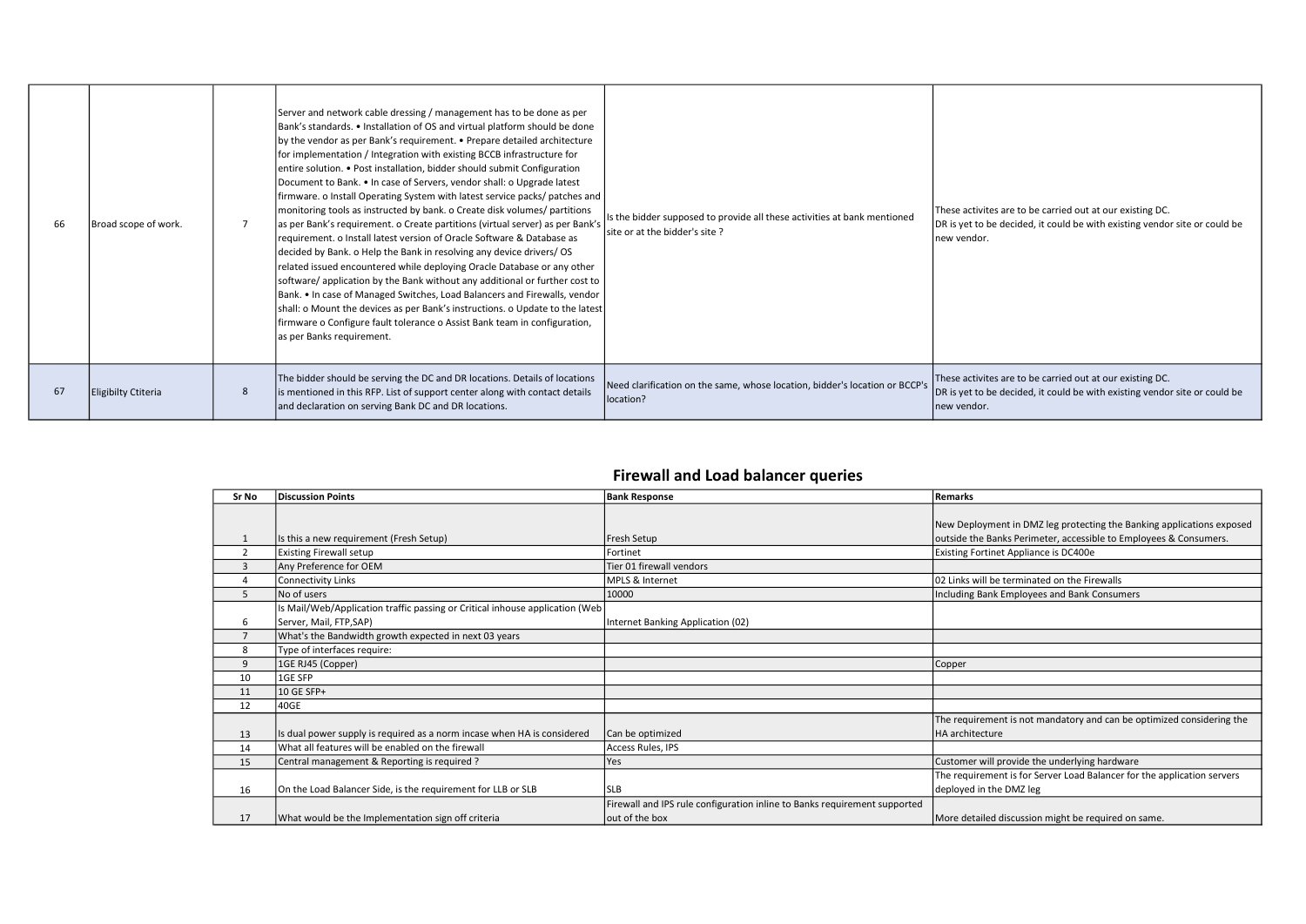| 66 | Broad scope of work. | Server and network cable dressing / management has to be done as per<br>Bank's standards. • Installation of OS and virtual platform should be done<br>by the vendor as per Bank's requirement. • Prepare detailed architecture<br>for implementation / Integration with existing BCCB infrastructure for<br>entire solution. • Post installation, bidder should submit Configuration<br>Document to Bank. • In case of Servers, vendor shall: o Upgrade latest<br>firmware. o Install Operating System with latest service packs/ patches and  <br>monitoring tools as instructed by bank. o Create disk volumes/ partitions<br>as per Bank's requirement. o Create partitions (virtual server) as per Bank's<br>requirement. o Install latest version of Oracle Software & Database as<br>decided by Bank. o Help the Bank in resolving any device drivers/OS<br>related issued encountered while deploying Oracle Database or any other<br>software/application by the Bank without any additional or further cost to<br>Bank. • In case of Managed Switches, Load Balancers and Firewalls, vendor<br>shall: o Mount the devices as per Bank's instructions. o Update to the latest<br>firmware o Configure fault tolerance o Assist Bank team in configuration,<br>as per Banks requirement. | Is the bidder supposed to provide all these activities at bank mentioned<br>Isite or at the bidder's site? | These activites are to be carried out at our existing DC.<br>DR is yet to be decided, it could be with existing vendor site or could be<br>new vendor.  |
|----|----------------------|-------------------------------------------------------------------------------------------------------------------------------------------------------------------------------------------------------------------------------------------------------------------------------------------------------------------------------------------------------------------------------------------------------------------------------------------------------------------------------------------------------------------------------------------------------------------------------------------------------------------------------------------------------------------------------------------------------------------------------------------------------------------------------------------------------------------------------------------------------------------------------------------------------------------------------------------------------------------------------------------------------------------------------------------------------------------------------------------------------------------------------------------------------------------------------------------------------------------------------------------------------------------------------------------------|------------------------------------------------------------------------------------------------------------|---------------------------------------------------------------------------------------------------------------------------------------------------------|
| 67 | Eligibilty Ctiteria  | The bidder should be serving the DC and DR locations. Details of locations<br>is mentioned in this RFP. List of support center along with contact details<br>and declaration on serving Bank DC and DR locations.                                                                                                                                                                                                                                                                                                                                                                                                                                                                                                                                                                                                                                                                                                                                                                                                                                                                                                                                                                                                                                                                               | Need clarification on the same, whose location, bidder's location or BCCP's<br>location?                   | These activites are to be carried out at our existing DC.<br>DR is yet to be decided, it could be with existing vendor site or could be<br>lnew vendor. |

## Firewall and Load balancer queries

| Sr No          | <b>Discussion Points</b>                                                    | <b>Bank Response</b>                                                      | Remarks                                                                 |
|----------------|-----------------------------------------------------------------------------|---------------------------------------------------------------------------|-------------------------------------------------------------------------|
|                |                                                                             |                                                                           |                                                                         |
|                |                                                                             |                                                                           | New Deployment in DMZ leg protecting the Banking applications exposed   |
|                | Is this a new requirement (Fresh Setup)                                     | Fresh Setup                                                               | outside the Banks Perimeter, accessible to Employees & Consumers.       |
| $\overline{2}$ | <b>Existing Firewall setup</b>                                              | Fortinet                                                                  | Existing Fortinet Appliance is DC400e                                   |
| 3              | Any Preference for OEM                                                      | Tier 01 firewall vendors                                                  |                                                                         |
| $\overline{4}$ | Connectivity Links                                                          | MPLS & Internet                                                           | 02 Links will be terminated on the Firewalls                            |
| 5              | No of users                                                                 | 10000                                                                     | Including Bank Employees and Bank Consumers                             |
|                | s Mail/Web/Application traffic passing or Critical inhouse application (Web |                                                                           |                                                                         |
| 6              | Server, Mail, FTP,SAP)                                                      | Internet Banking Application (02)                                         |                                                                         |
|                | What's the Bandwidth growth expected in next 03 years                       |                                                                           |                                                                         |
| 8              | Type of interfaces require:                                                 |                                                                           |                                                                         |
| 9              | 1GE RJ45 (Copper)                                                           |                                                                           | Copper                                                                  |
| 10             | 1GE SFP                                                                     |                                                                           |                                                                         |
| 11             | 10 GE SFP+                                                                  |                                                                           |                                                                         |
| 12             | 40GE                                                                        |                                                                           |                                                                         |
|                |                                                                             |                                                                           | The requirement is not mandatory and can be optimized considering the   |
| 13             | Is dual power supply is required as a norm incase when HA is considered     | Can be optimized                                                          | <b>HA</b> architecture                                                  |
| 14             | What all features will be enabled on the firewall                           | Access Rules, IPS                                                         |                                                                         |
| 15             | Central management & Reporting is required?                                 | Yes                                                                       | Customer will provide the underlying hardware                           |
|                |                                                                             |                                                                           | The requirement is for Server Load Balancer for the application servers |
| 16             | On the Load Balancer Side, is the requirement for LLB or SLB                | <b>SLB</b>                                                                | deployed in the DMZ leg                                                 |
|                |                                                                             | Firewall and IPS rule configuration inline to Banks requirement supported |                                                                         |
| 17             | What would be the Implementation sign off criteria                          | out of the box                                                            | More detailed discussion might be required on same.                     |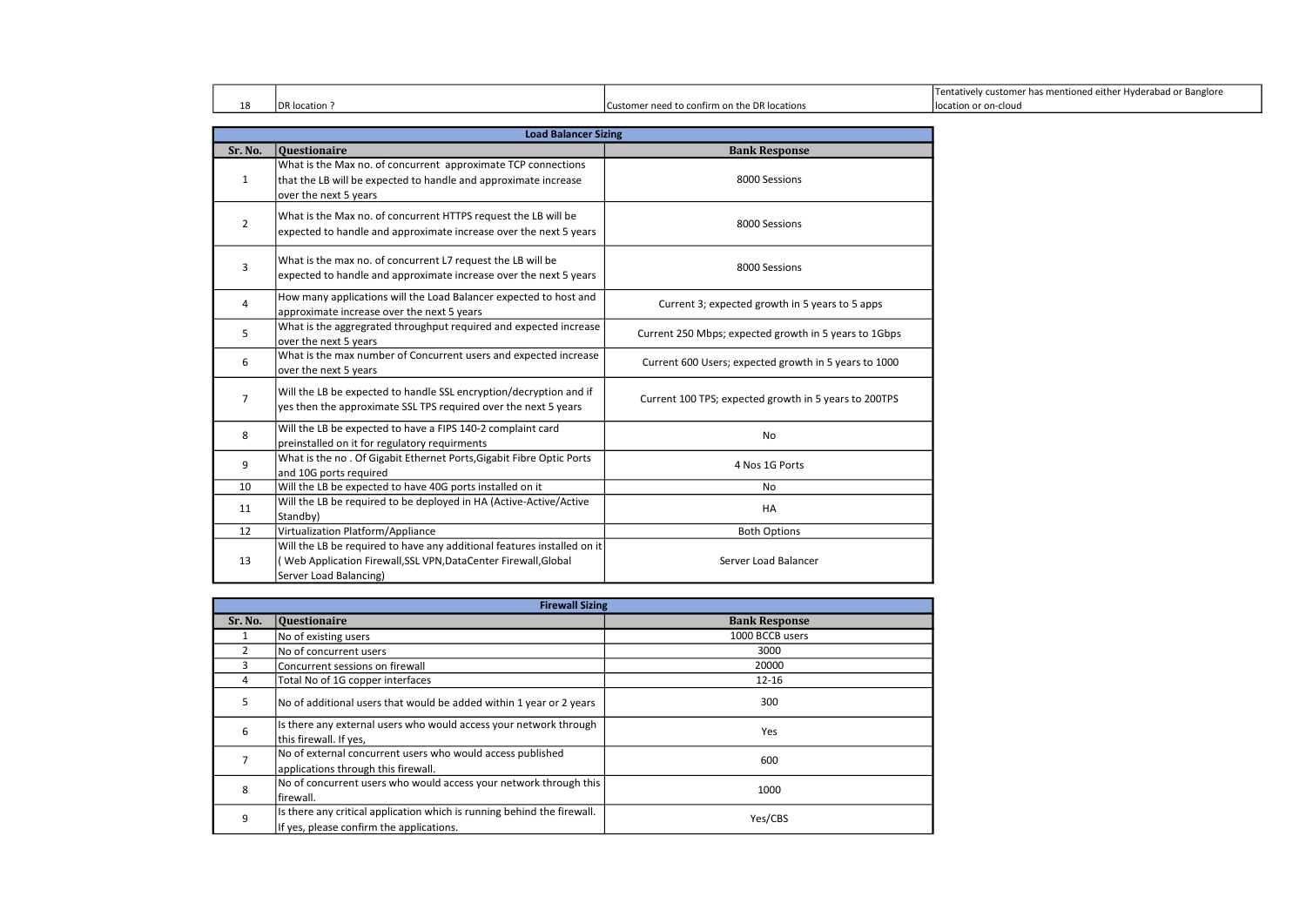|    |               |                                              | Tentatively customer has mentioned either Hyderabad or Banglore |
|----|---------------|----------------------------------------------|-----------------------------------------------------------------|
| 18 | DR location i | Customer need to confirm on the DR locations | llocation or on-cloud                                           |

|                | <b>Load Balancer Sizing</b>                                                                                                                                         |                                                       |  |  |
|----------------|---------------------------------------------------------------------------------------------------------------------------------------------------------------------|-------------------------------------------------------|--|--|
| Sr. No.        | <b>Questionaire</b>                                                                                                                                                 | <b>Bank Response</b>                                  |  |  |
| $\mathbf{1}$   | What is the Max no. of concurrent approximate TCP connections<br>that the LB will be expected to handle and approximate increase<br>over the next 5 years           | 8000 Sessions                                         |  |  |
| $\overline{2}$ | What is the Max no. of concurrent HTTPS request the LB will be<br>expected to handle and approximate increase over the next 5 years                                 | 8000 Sessions                                         |  |  |
| 3              | What is the max no. of concurrent L7 request the LB will be<br>expected to handle and approximate increase over the next 5 years                                    | 8000 Sessions                                         |  |  |
| 4              | How many applications will the Load Balancer expected to host and<br>approximate increase over the next 5 years                                                     | Current 3; expected growth in 5 years to 5 apps       |  |  |
| 5              | What is the aggregrated throughput required and expected increase<br>over the next 5 years                                                                          | Current 250 Mbps; expected growth in 5 years to 1Gbps |  |  |
| 6              | What is the max number of Concurrent users and expected increase<br>over the next 5 years                                                                           | Current 600 Users; expected growth in 5 years to 1000 |  |  |
| $\overline{7}$ | Will the LB be expected to handle SSL encryption/decryption and if<br>yes then the approximate SSL TPS required over the next 5 years                               | Current 100 TPS; expected growth in 5 years to 200TPS |  |  |
| 8              | Will the LB be expected to have a FIPS 140-2 complaint card<br>preinstalled on it for regulatory requirments                                                        | No                                                    |  |  |
| 9              | What is the no. Of Gigabit Ethernet Ports, Gigabit Fibre Optic Ports<br>and 10G ports required                                                                      | 4 Nos 1G Ports                                        |  |  |
| 10             | Will the LB be expected to have 40G ports installed on it                                                                                                           | No                                                    |  |  |
| 11             | Will the LB be required to be deployed in HA (Active-Active/Active<br>Standby)                                                                                      | HA                                                    |  |  |
| 12             | Virtualization Platform/Appliance                                                                                                                                   | <b>Both Options</b>                                   |  |  |
| 13             | Will the LB be required to have any additional features installed on it<br>Web Application Firewall, SSL VPN, DataCenter Firewall, Global<br>Server Load Balancing) | Server Load Balancer                                  |  |  |

|         | <b>Firewall Sizing</b>                                                                                              |                      |  |
|---------|---------------------------------------------------------------------------------------------------------------------|----------------------|--|
| Sr. No. | <b>Questionaire</b>                                                                                                 | <b>Bank Response</b> |  |
|         | No of existing users                                                                                                | 1000 BCCB users      |  |
| 2       | No of concurrent users                                                                                              | 3000                 |  |
| 3       | Concurrent sessions on firewall                                                                                     | 20000                |  |
| 4       | Total No of 1G copper interfaces                                                                                    | $12 - 16$            |  |
| 5       | No of additional users that would be added within 1 year or 2 years                                                 | 300                  |  |
| 6       | Is there any external users who would access your network through<br>this firewall. If yes,                         | Yes                  |  |
| 7       | No of external concurrent users who would access published<br>applications through this firewall.                   | 600                  |  |
| 8       | No of concurrent users who would access your network through this<br>lfirewall.                                     | 1000                 |  |
| 9       | Is there any critical application which is running behind the firewall.<br>If yes, please confirm the applications. | Yes/CBS              |  |